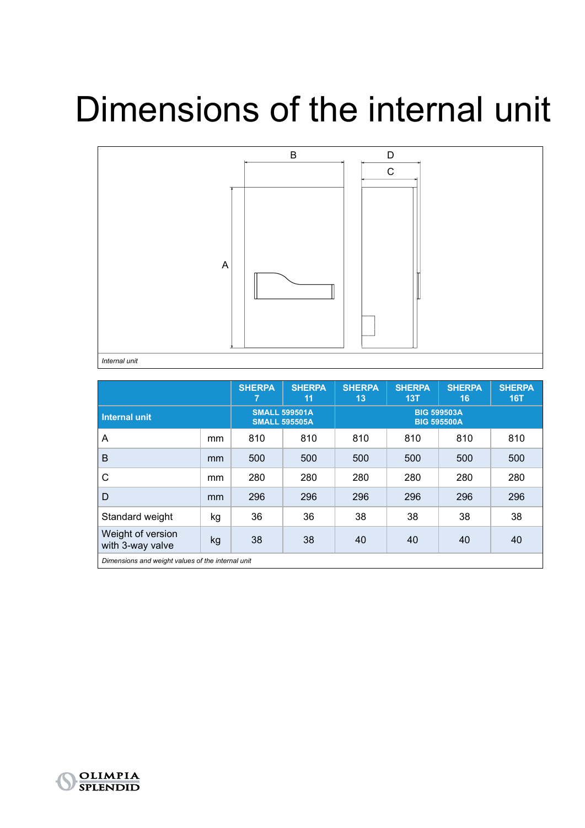## Dimensions of the internal unit



|                                                   |    | <b>SHERPA</b><br>7                           | <b>SHERPA</b><br>11 | <b>SHERPA</b><br>13                      | <b>SHERPA</b><br>13T | <b>SHERPA</b><br>16 | <b>SHERPA</b><br><b>16T</b> |
|---------------------------------------------------|----|----------------------------------------------|---------------------|------------------------------------------|----------------------|---------------------|-----------------------------|
| <b>Internal unit</b>                              |    | <b>SMALL 599501A</b><br><b>SMALL 595505A</b> |                     | <b>BIG 599503A</b><br><b>BIG 595500A</b> |                      |                     |                             |
| A                                                 | mm | 810                                          | 810                 | 810                                      | 810                  | 810                 | 810                         |
| B                                                 | mm | 500                                          | 500                 | 500                                      | 500                  | 500                 | 500                         |
| С                                                 | mm | 280                                          | 280                 | 280                                      | 280                  | 280                 | 280                         |
| D                                                 | mm | 296                                          | 296                 | 296                                      | 296                  | 296                 | 296                         |
| Standard weight                                   | kg | 36                                           | 36                  | 38                                       | 38                   | 38                  | 38                          |
| Weight of version<br>with 3-way valve             | kg | 38                                           | 38                  | 40                                       | 40                   | 40                  | 40                          |
| Dimensions and weight values of the internal unit |    |                                              |                     |                                          |                      |                     |                             |

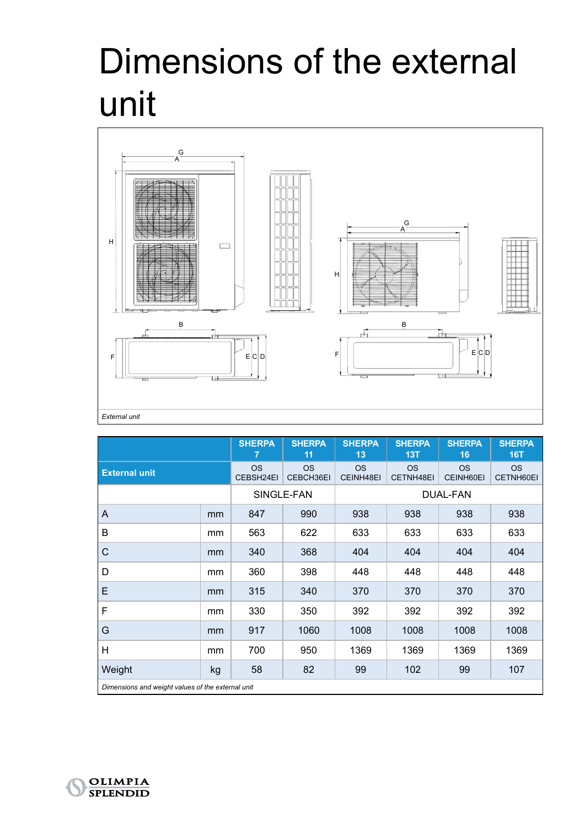## Dimensions of the external unit



|                                                   |    | <b>SHERPA</b><br>7     | <b>SHERPA</b><br>11    | <b>SHERPA</b><br>13    | <b>SHERPA</b><br>13T   | <b>SHERPA</b><br>16    | <b>SHERPA</b><br><b>16T</b> |  |
|---------------------------------------------------|----|------------------------|------------------------|------------------------|------------------------|------------------------|-----------------------------|--|
| <b>External unit</b>                              |    | <b>OS</b><br>CEBSH24EI | <b>OS</b><br>CEBCH36EI | <b>OS</b><br>CEINH48EI | <b>OS</b><br>CETNH48EI | <b>OS</b><br>CEINH60EI | <b>OS</b><br>CETNH60EI      |  |
|                                                   |    | SINGLE-FAN             |                        | DUAL-FAN               |                        |                        |                             |  |
| A                                                 | mm | 847                    | 990                    | 938                    | 938                    | 938                    | 938                         |  |
| B                                                 | mm | 563                    | 622                    | 633                    | 633                    | 633                    | 633                         |  |
| C                                                 | mm | 340                    | 368                    | 404                    | 404                    | 404                    | 404                         |  |
| D                                                 | mm | 360                    | 398                    | 448                    | 448                    | 448                    | 448                         |  |
| E                                                 | mm | 315                    | 340                    | 370                    | 370                    | 370                    | 370                         |  |
| F                                                 | mm | 330                    | 350                    | 392                    | 392                    | 392                    | 392                         |  |
| G                                                 | mm | 917                    | 1060                   | 1008                   | 1008                   | 1008                   | 1008                        |  |
| H                                                 | mm | 700                    | 950                    | 1369                   | 1369                   | 1369                   | 1369                        |  |
| Weight                                            | kg | 58                     | 82                     | 99                     | 102                    | 99                     | 107                         |  |
| Dimensions and weight values of the external unit |    |                        |                        |                        |                        |                        |                             |  |